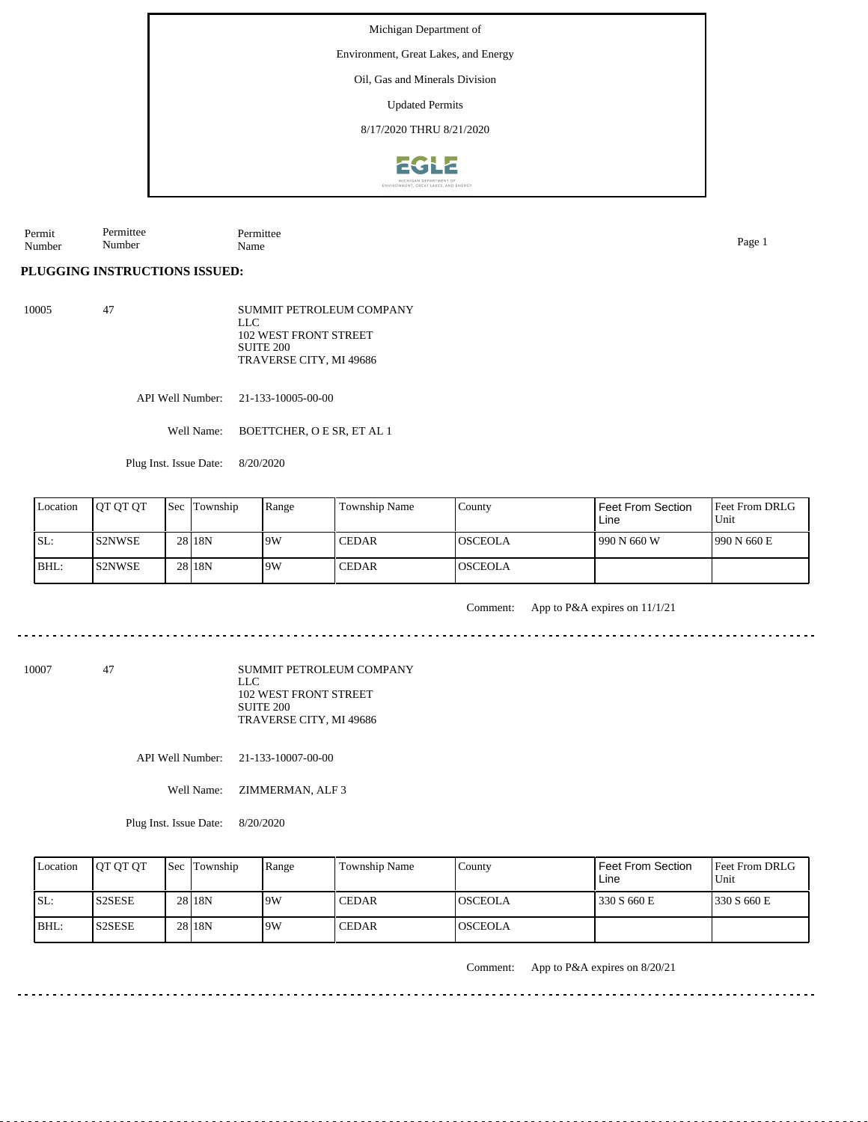Environment, Great Lakes, and Energy

Oil, Gas and Minerals Division

Updated Permits

8/17/2020 THRU 8/21/2020



Permit Number Permittee Name Page 1

**PLUGGING INSTRUCTIONS ISSUED:**

Permittee Number

10005 47 SUMMIT PETROLEUM COMPANY LLC 102 WEST FRONT STREET SUITE 200 TRAVERSE CITY, MI 49686

API Well Number: 21-133-10005-00-00

Well Name: BOETTCHER, O E SR, ET AL 1

Plug Inst. Issue Date: 8/20/2020

| Location | <b>IOT OT OT</b> | <b>Sec</b> Township | Range | Township Name | County   | Feet From Section<br>Line | <b>Feet From DRLG</b><br>Unit |
|----------|------------------|---------------------|-------|---------------|----------|---------------------------|-------------------------------|
| ISL:     | <b>S2NWSE</b>    | 28 18N              | 19W   | <b>CEDAR</b>  | IOSCEOLA | 990 N 660 W               | 1990 N 660 E                  |
| BHL:     | IS2NWSE          | 28 <sub>18N</sub>   | 9W    | <b>CEDAR</b>  | IOSCEOLA |                           |                               |

Comment: App to P&A expires on 11/1/21

10007 47

SUMMIT PETROLEUM COMPANY LLC 102 WEST FRONT STREET SUITE 200 TRAVERSE CITY, MI 49686

API Well Number: 21-133-10007-00-00

Well Name: **ZIMMERMAN, ALF 3** 

Plug Inst. Issue Date: 8/20/2020

| Location | <b>OT OT OT</b> | <b>Sec</b> Township | Range | Township Name | County          | <b>Feet From Section</b><br>Line | <b>Feet From DRLG</b><br>Unit |
|----------|-----------------|---------------------|-------|---------------|-----------------|----------------------------------|-------------------------------|
| ISL:     | <b>S2SESE</b>   | 28 18N              | 9W    | <b>CEDAR</b>  | IOSCEOLA        | 330 S 660 E                      | 1330 S 660 E                  |
| $IBHL$ : | IS2SESE         | 28 18N              | 9W    | <b>CEDAR</b>  | <b>IOSCEOLA</b> |                                  |                               |

Comment: App to P&A expires on 8/20/21

 $- - - - - - - - -$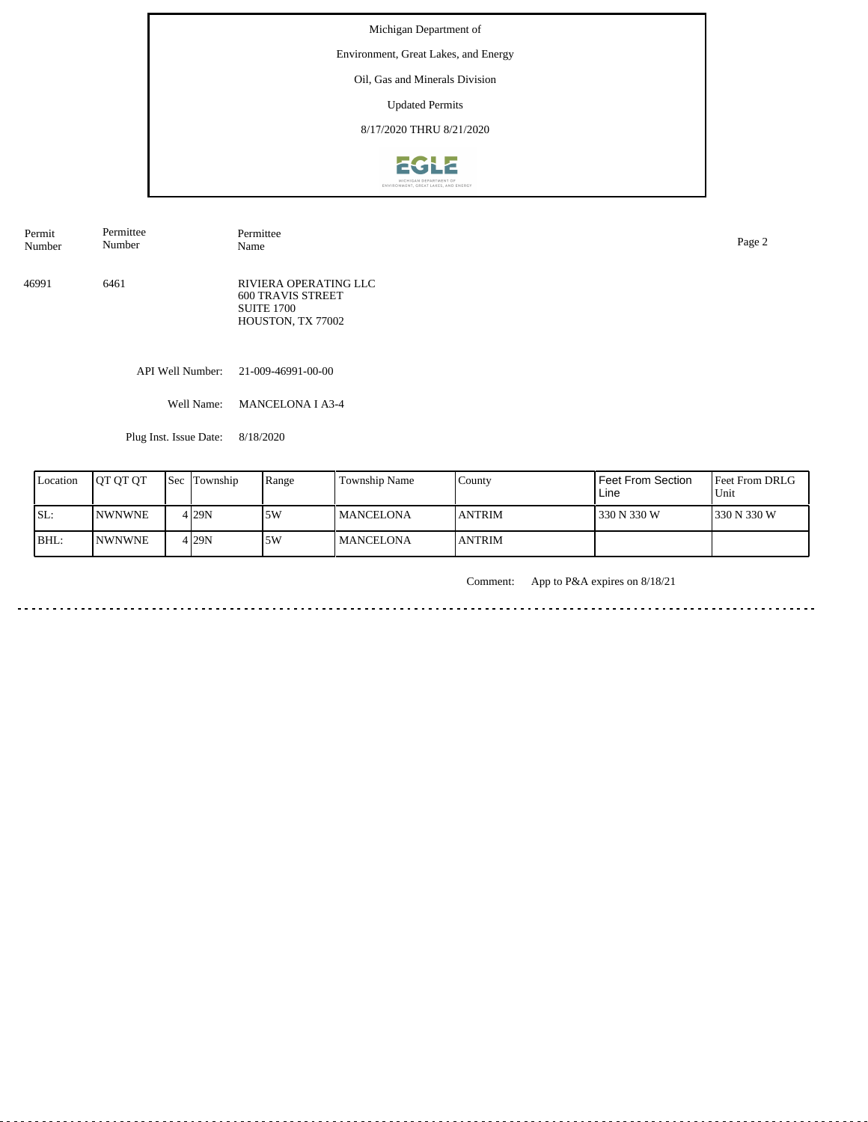Environment, Great Lakes, and Energy

# Oil, Gas and Minerals Division

Updated Permits

8/17/2020 THRU 8/21/2020



| Permit | Permittee | Permittee                                                                                   | Page 2 |
|--------|-----------|---------------------------------------------------------------------------------------------|--------|
| Number | Number    | Name                                                                                        |        |
| 46991  | 6461      | RIVIERA OPERATING LLC<br><b>600 TRAVIS STREET</b><br><b>SUITE 1700</b><br>HOUSTON, TX 77002 |        |

API Well Number: 21-009-46991-00-00

Well Name: MANCELONA I A3-4

Plug Inst. Issue Date: 8/18/2020

| Location | <b>IOT OT OT</b> | l Sec | Township         | Range | Township Name     | County         | <b>Feet From Section</b><br>Line | <b>Feet From DRLG</b><br>Unit |
|----------|------------------|-------|------------------|-------|-------------------|----------------|----------------------------------|-------------------------------|
| SL:      | <b>INWNWNE</b>   |       | 4 <sub>29N</sub> | 5W    | <b>IMANCELONA</b> | <b>ANTRIM</b>  | 330 N 330 W                      | 1330 N 330 W                  |
| BHL:     | <b>NWNWNE</b>    |       | $4$ 29N          | 5W    | l MANCELONA       | <b>LANTRIM</b> |                                  |                               |

Comment: App to P&A expires on 8/18/21

. . . . . . . . . . . . . . . . .  $- - - - - -$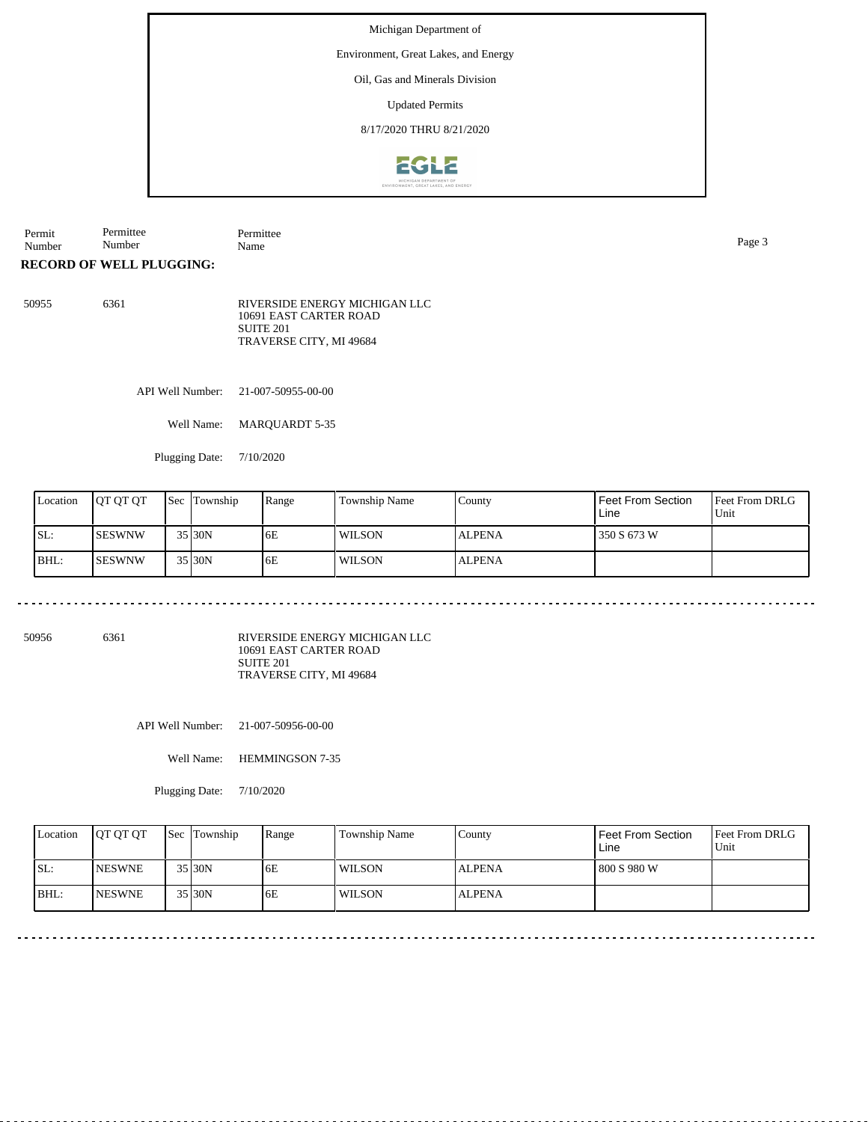Environment, Great Lakes, and Energy

### Oil, Gas and Minerals Division

Updated Permits

8/17/2020 THRU 8/21/2020



Permit Permittee Number Permittee

Number

**RECORD OF WELL PLUGGING:**

50955 6361 RIVERSIDE ENERGY MICHIGAN LLC 10691 EAST CARTER ROAD SUITE 201 TRAVERSE CITY, MI 49684

API Well Number: 21-007-50955-00-00

Well Name: MARQUARDT 5-35

Plugging Date: 7/10/2020

| Location | <b>IOT OT OT</b> | <b>Sec</b> Township | Range | <b>Township Name</b> | County        | Feet From Section<br>Line | <b>Feet From DRLG</b><br>Unit |
|----------|------------------|---------------------|-------|----------------------|---------------|---------------------------|-------------------------------|
| SL:      | ISESWNW          | 35 30N              | 6E    | <b>WILSON</b>        | <b>ALPENA</b> | 350 S 673 W               |                               |
| BHL:     | ISESWNW          | 35 30N              | 6E    | <b>WILSON</b>        | <b>ALPENA</b> |                           |                               |

<u>. . . . . . . . . . . . .</u>

50956 6361

RIVERSIDE ENERGY MICHIGAN LLC 10691 EAST CARTER ROAD SUITE 201 TRAVERSE CITY, MI 49684

API Well Number: 21-007-50956-00-00

Well Name: HEMMINGSON 7-35

Plugging Date: 7/10/2020

| Location | <b>IOT OT OT</b> | <b>Sec</b> Township | Range | <b>Township Name</b> | County        | Feet From Section<br>Line | <b>Feet From DRLG</b><br>Unit |
|----------|------------------|---------------------|-------|----------------------|---------------|---------------------------|-------------------------------|
| SL:      | <b>INESWNE</b>   | 35 30N              | 6E    | <b>WILSON</b>        | <b>ALPENA</b> | 1800 S 980 W              |                               |
| IBHL:    | <b>INESWNE</b>   | 35 30N              | 6E    | <b>WILSON</b>        | <b>ALPENA</b> |                           |                               |

Name Page 3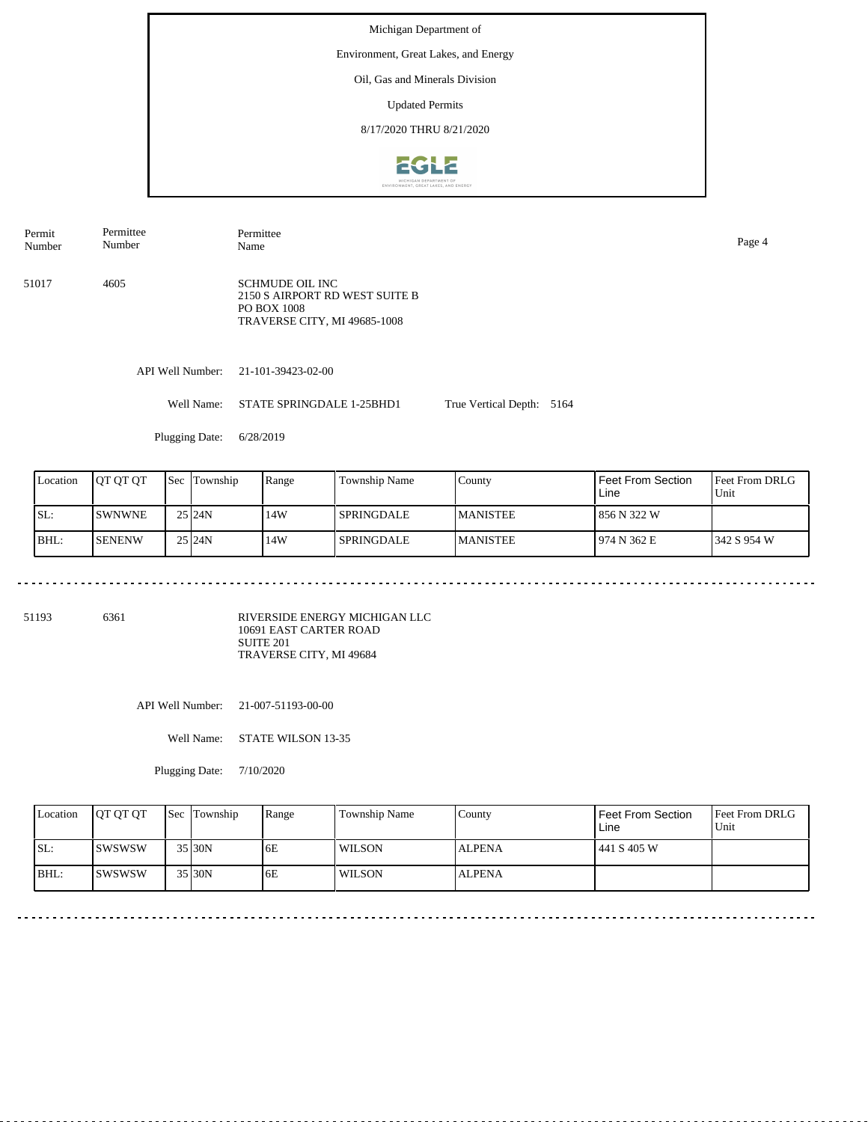Environment, Great Lakes, and Energy

## Oil, Gas and Minerals Division

Updated Permits

8/17/2020 THRU 8/21/2020



51017 4605 SCHMUDE OIL INC 2150 S AIRPORT RD WEST SUITE B PO BOX 1008 TRAVERSE CITY, MI 49685-1008 Permit Number Permittee Number Permittee Name Page 4

API Well Number: 21-101-39423-02-00

Well Name: STATE SPRINGDALE 1-25BHD1 True Vertical Depth: 5164

Plugging Date: 6/28/2019

| Location | IOT OT OT     | <b>Sec</b> | Township | Range | Township Name     | County           | Feet From Section<br>Line | <b>IFeet From DRLG</b><br>Unit |
|----------|---------------|------------|----------|-------|-------------------|------------------|---------------------------|--------------------------------|
| ISL:     | <b>SWNWNE</b> |            | 25 24N   | 14W   | <b>SPRINGDALE</b> | <b>IMANISTEE</b> | 856 N 322 W               |                                |
| BHL:     | <b>SENENW</b> |            | 25 24N   | 14W   | <b>SPRINGDALE</b> | <b>MANISTEE</b>  | 974 N 362 E               | 1342 S 954 W                   |

51193 6361

RIVERSIDE ENERGY MICHIGAN LLC 10691 EAST CARTER ROAD SUITE 201 TRAVERSE CITY, MI 49684

API Well Number: 21-007-51193-00-00

Well Name: STATE WILSON 13-35

Plugging Date: 7/10/2020

| Location | <b>IOT OT OT</b> | <b>Sec Township</b> | Range | <b>Township Name</b> | Countv        | Feet From Section<br>Line | <b>Feet From DRLG</b><br>Unit |
|----------|------------------|---------------------|-------|----------------------|---------------|---------------------------|-------------------------------|
| ISL:     | Iswswsw          | 35 30N              | 6E    | WILSON               | <b>ALPENA</b> | 441 S 405 W               |                               |
| BHL:     | <b>ISWSWSW</b>   | 35 30N              | 6E    | <b>WILSON</b>        | <b>ALPENA</b> |                           |                               |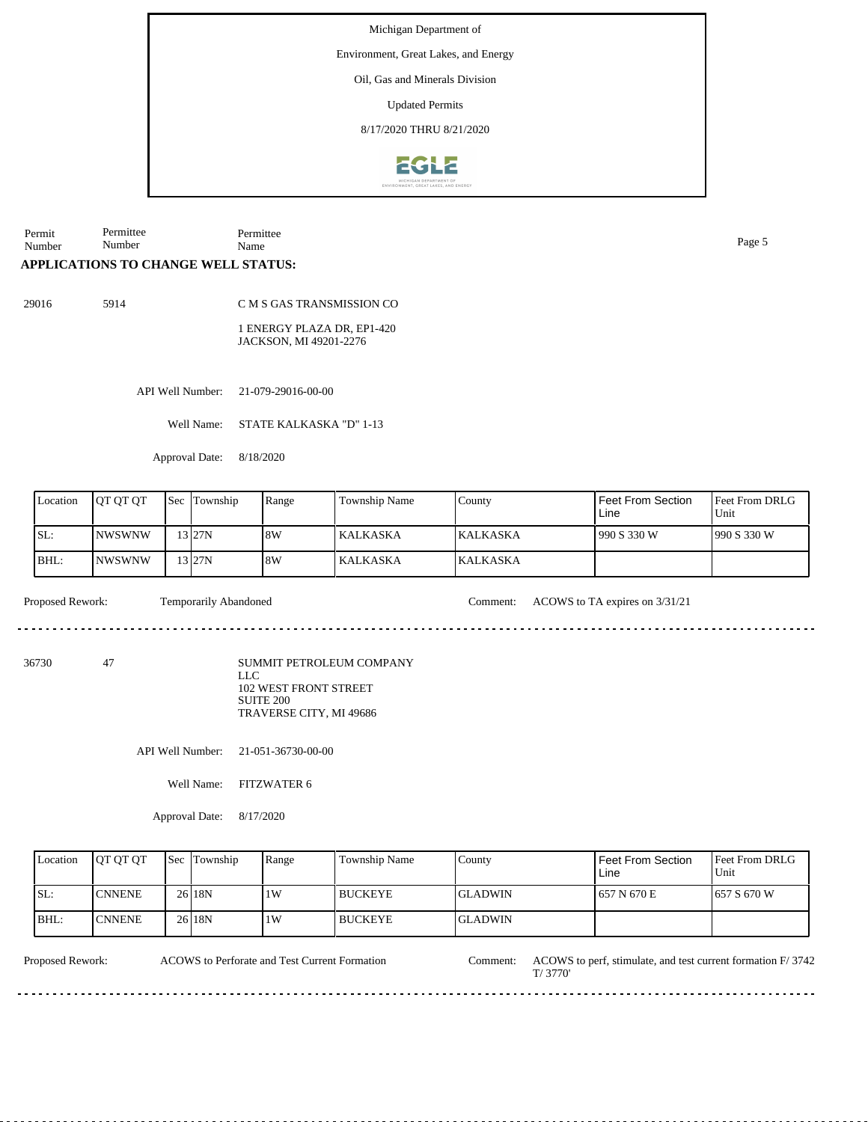Environment, Great Lakes, and Energy

Oil, Gas and Minerals Division

Updated Permits

8/17/2020 THRU 8/21/2020



Permit Number Permittee Number Permittee Name Page 5

### **APPLICATIONS TO CHANGE WELL STATUS:**

29016 5914

C M S GAS TRANSMISSION CO

1 ENERGY PLAZA DR, EP1-420 JACKSON, MI 49201-2276

API Well Number: 21-079-29016-00-00

Well Name: STATE KALKASKA "D" 1-13

Approval Date: 8/18/2020

| Location | <b>IOT OT OT</b> | Sec | Township  | Range | Township Name   | County          | I Feet From Section<br>Line | Feet From DRLG<br>Unit |
|----------|------------------|-----|-----------|-------|-----------------|-----------------|-----------------------------|------------------------|
| SL:      | INWSWNW          |     | 13 I 27 N | 8W    | KALKASKA        | <b>KALKASKA</b> | 990 S 330 W                 | 1990 S 330 W           |
| BHL:     | INWSWNW          |     | 3127N     | 8W    | <b>KALKASKA</b> | <b>KALKASKA</b> |                             |                        |

Proposed Rework: Temporarily Abandoned Comment: ACOWS to TA expires on 3/31/21

de de decede

<u>. . . . . . . . .</u>

36730 47

SUMMIT PETROLEUM COMPANY LLC 102 WEST FRONT STREET SUITE 200 TRAVERSE CITY, MI 49686

API Well Number: 21-051-36730-00-00

Well Name: FITZWATER 6

Approval Date: 8/17/2020

| Location | <b>IOT OT OT</b> | <b>Sec</b> | Township          | Range | Township Name | County         | Feet From Section<br>Line | Feet From DRLG<br>Unit |
|----------|------------------|------------|-------------------|-------|---------------|----------------|---------------------------|------------------------|
| SL:      | <b>CNNENE</b>    |            | 26 <sub>18N</sub> | 1W    | l BUCKEYE     | IGLADWIN       | 1657 N670 E               | 1657 S 670 W           |
| BHL:     | <b>ICNNENE</b>   |            | 26 18N            | 1W    | l BUCKEYE     | <b>GLADWIN</b> |                           |                        |

ACOWS to Perforate and Test Current Formation

Proposed Rework: ACOWS to Perforate and Test Current Formation Comment: ACOWS to perf, stimulate, and test current formation F/ 3742

T/ 3770'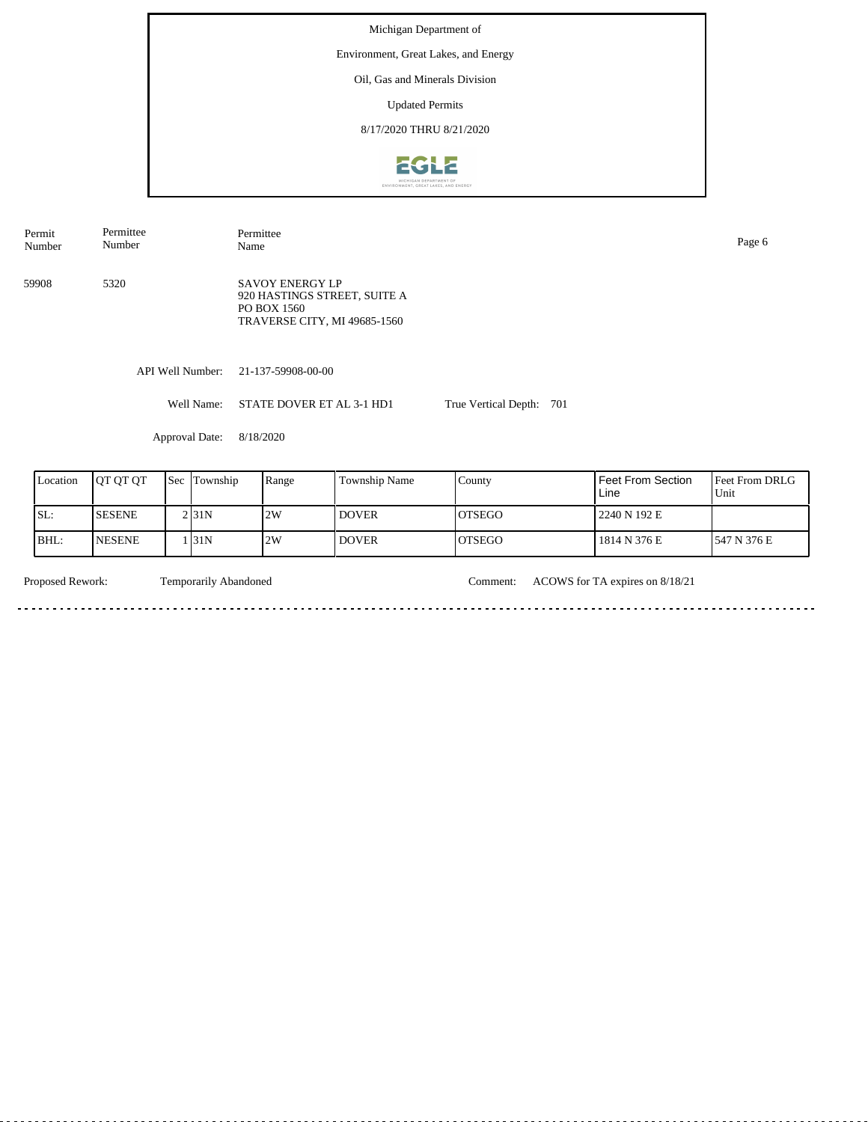Michigan Department of Environment, Great Lakes, and Energy Oil, Gas and Minerals Division Updated Permits 8/17/2020 THRU 8/21/2020**EGLE** 

API Well Number: 21-137-59908-00-00 Well Name: STATE DOVER ET AL 3-1 HD1 True Vertical Depth: 701 59908 5320 SAVOY ENERGY LP 920 HASTINGS STREET, SUITE A PO BOX 1560 TRAVERSE CITY, MI 49685-1560 Permit Number Permittee Number Permittee Name Page 6

Approval Date: 8/18/2020

| Location | <b>IOT OT OT</b> | <b>Sec Township</b> | Range | <b>Township Name</b> | County         | Feet From Section<br>Line | <b>Feet From DRLG</b><br>Unit |
|----------|------------------|---------------------|-------|----------------------|----------------|---------------------------|-------------------------------|
| SL:      | <b>SESENE</b>    | 2 <sub>131</sub> N  | 2W    | <b>DOVER</b>         | IOTSEGO        | 2240 N 192 E              |                               |
| BHL:     | <b>NESENE</b>    | . 131N              | 2W    | <b>DOVER</b>         | <b>IOTSEGO</b> | 1814 N 376 E              | 547 N 376 E                   |

. . . . . . . . . . . . . . . . .

 $\sim$   $\sim$ 

Temporarily Abandoned

Proposed Rework: Comment: ACOWS for TA expires on 8/18/21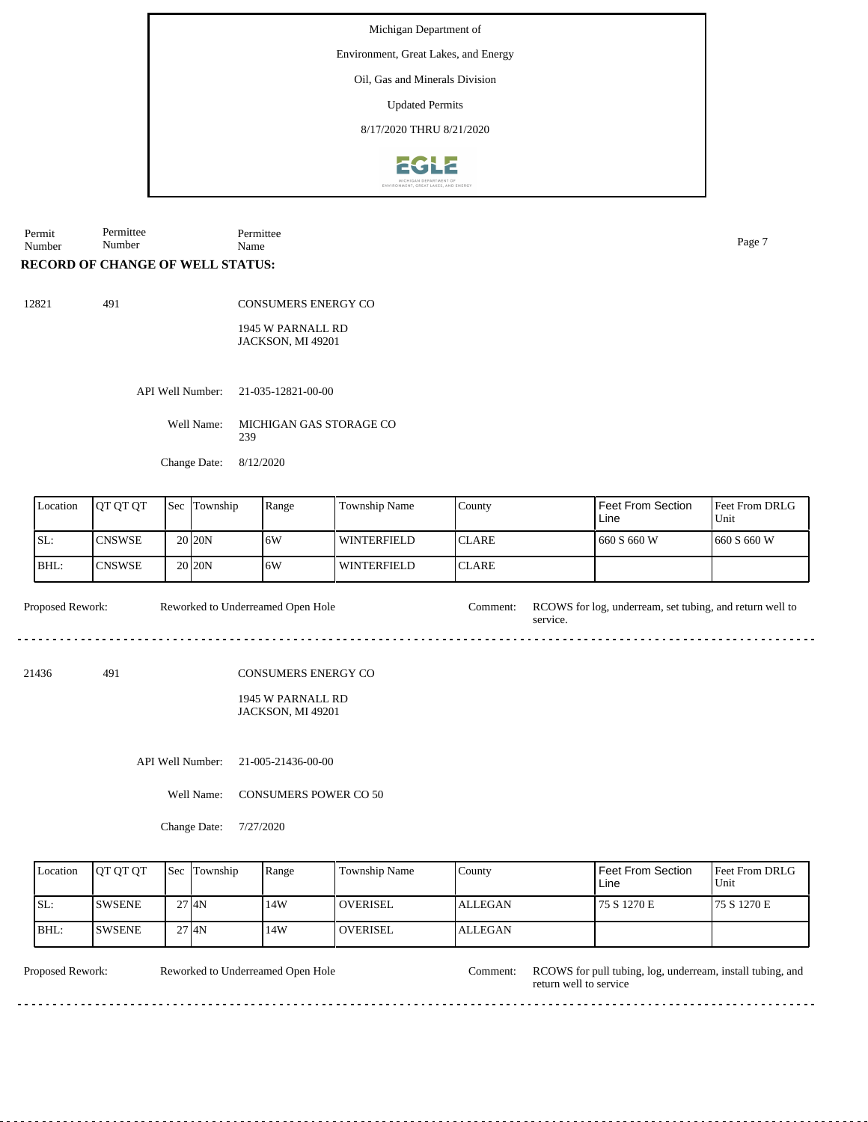Environment, Great Lakes, and Energy

Oil, Gas and Minerals Division

Updated Permits

8/17/2020 THRU 8/21/2020



Permit Number Permittee Number Permittee Name Page 7

### **RECORD OF CHANGE OF WELL STATUS:**

491

CONSUMERS ENERGY CO

1945 W PARNALL RD JACKSON, MI 49201

API Well Number: 21-035-12821-00-00

Well Name: MICHIGAN GAS STORAGE CO 239

Change Date: 8/12/2020

| Location | <b>OT OT OT</b> | <b>Sec</b> | Township           | Range | Township Name      | County        | Feet From Section<br>Line | <b>Feet From DRLG</b><br>Unit |
|----------|-----------------|------------|--------------------|-------|--------------------|---------------|---------------------------|-------------------------------|
| SL:      | <b>CNSWSE</b>   |            | 20 <sub>20</sub> N | 16W   | WINTERFIELD        | ICLARE        | 1 660 S 660 W             | 1660 S 660 W                  |
| BHL:     | <b>CNSWSE</b>   |            | 20 <sub>20</sub> N | .6W   | <b>WINTERFIELD</b> | <b>ICLARE</b> |                           |                               |

service.

Proposed Rework: Reworked to Underreamed Open Hole Comment: RCOWS for log, underream, set tubing, and return well to Reworked to Underreamed Open Hole

21436 491

CONSUMERS ENERGY CO

1945 W PARNALL RD JACKSON, MI 49201

API Well Number: 21-005-21436-00-00

Well Name: CONSUMERS POWER CO 50

Change Date: 7/27/2020

 $2.2.2.2.2.2$ 

| Location | <b>OT OT OT</b> | <b>Sec</b> Township | Range | Township Name   | County         | Feet From Section<br>Line | <b>IFeet From DRLG</b><br>Unit |
|----------|-----------------|---------------------|-------|-----------------|----------------|---------------------------|--------------------------------|
| ISL:     | <b>ISWSENE</b>  | 2714N               | 14W   | <b>OVERISEL</b> | <b>ALLEGAN</b> | 75 S 1270 E               | 75 S 1270 E                    |
| BHL:     | <b>SWSENE</b>   | 2714N               | 14W   | <b>OVERISEL</b> | <b>ALLEGAN</b> |                           |                                |

<u>. . . . . . . . .</u>

Reworked to Underreamed Open Hole

<u>. . . . . . . . . . . . .</u>

Proposed Rework: Reworked to Underreamed Open Hole Comment: RCOWS for pull tubing, log, underream, install tubing, and return well to service

<u>. . . . . . . .</u>

 $\overline{a}$  .  $\overline{a}$